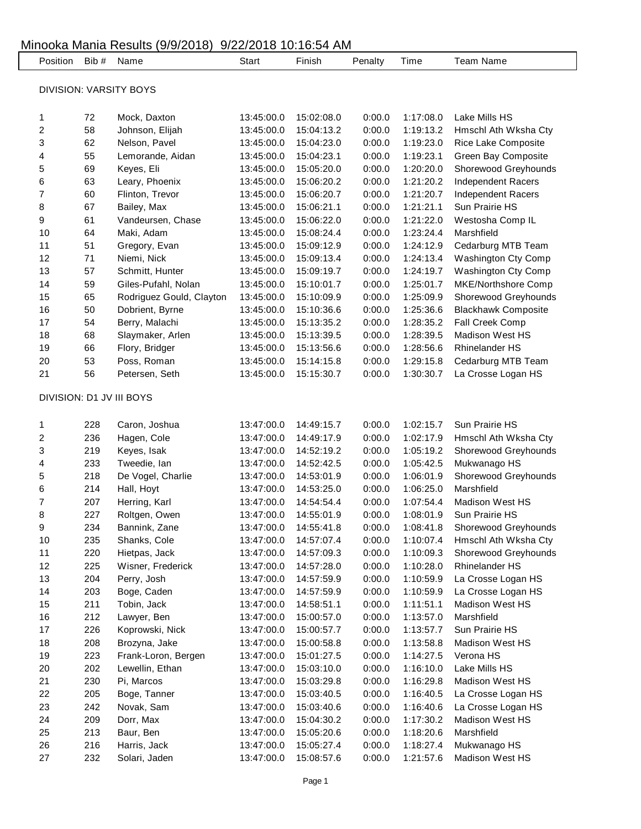| Position Bib #         |     | Name                     | Start      | Finish     | Penalty | Time      | <b>Team Name</b>           |  |  |  |
|------------------------|-----|--------------------------|------------|------------|---------|-----------|----------------------------|--|--|--|
| DIVISION: VARSITY BOYS |     |                          |            |            |         |           |                            |  |  |  |
|                        |     |                          |            |            |         |           |                            |  |  |  |
| 1                      | 72  | Mock, Daxton             | 13:45:00.0 | 15:02:08.0 | 0:00.0  | 1:17:08.0 | Lake Mills HS              |  |  |  |
| 2                      | 58  | Johnson, Elijah          | 13:45:00.0 | 15:04:13.2 | 0:00.0  | 1:19:13.2 | Hmschl Ath Wksha Cty       |  |  |  |
| 3                      | 62  | Nelson, Pavel            | 13:45:00.0 | 15:04:23.0 | 0:00.0  | 1:19:23.0 | Rice Lake Composite        |  |  |  |
| 4                      | 55  | Lemorande, Aidan         | 13:45:00.0 | 15:04:23.1 | 0:00.0  | 1:19:23.1 | Green Bay Composite        |  |  |  |
| 5                      | 69  | Keyes, Eli               | 13:45:00.0 | 15:05:20.0 | 0:00.0  | 1:20:20.0 | Shorewood Greyhounds       |  |  |  |
| 6                      | 63  | Leary, Phoenix           | 13:45:00.0 | 15:06:20.2 | 0:00.0  | 1:21:20.2 | Independent Racers         |  |  |  |
| 7                      | 60  | Flinton, Trevor          | 13:45:00.0 | 15:06:20.7 | 0:00.0  | 1:21:20.7 | Independent Racers         |  |  |  |
| 8                      | 67  | Bailey, Max              | 13:45:00.0 | 15:06:21.1 | 0:00.0  | 1:21:21.1 | Sun Prairie HS             |  |  |  |
| 9                      | 61  | Vandeursen, Chase        | 13:45:00.0 | 15:06:22.0 | 0:00.0  | 1:21:22.0 | Westosha Comp IL           |  |  |  |
| 10                     | 64  | Maki, Adam               | 13:45:00.0 | 15:08:24.4 | 0:00.0  | 1:23:24.4 | Marshfield                 |  |  |  |
| 11                     | 51  | Gregory, Evan            | 13:45:00.0 | 15:09:12.9 | 0:00.0  | 1:24:12.9 | Cedarburg MTB Team         |  |  |  |
| 12                     | 71  | Niemi, Nick              | 13:45:00.0 | 15:09:13.4 | 0:00.0  | 1:24:13.4 | <b>Washington Cty Comp</b> |  |  |  |
| 13                     | 57  | Schmitt, Hunter          | 13:45:00.0 | 15:09:19.7 | 0:00.0  | 1:24:19.7 | <b>Washington Cty Comp</b> |  |  |  |
| 14                     | 59  | Giles-Pufahl, Nolan      | 13:45:00.0 | 15:10:01.7 | 0:00.0  | 1:25:01.7 | MKE/Northshore Comp        |  |  |  |
| 15                     | 65  | Rodriguez Gould, Clayton | 13:45:00.0 | 15:10:09.9 | 0:00.0  | 1:25:09.9 | Shorewood Greyhounds       |  |  |  |
| 16                     | 50  | Dobrient, Byrne          | 13:45:00.0 | 15:10:36.6 | 0:00.0  | 1:25:36.6 | <b>Blackhawk Composite</b> |  |  |  |
| 17                     | 54  | Berry, Malachi           | 13:45:00.0 | 15:13:35.2 | 0:00.0  | 1:28:35.2 | Fall Creek Comp            |  |  |  |
| 18                     | 68  | Slaymaker, Arlen         | 13:45:00.0 | 15:13:39.5 | 0:00.0  | 1:28:39.5 | <b>Madison West HS</b>     |  |  |  |
| 19                     | 66  | Flory, Bridger           | 13:45:00.0 | 15:13:56.6 | 0:00.0  | 1:28:56.6 | <b>Rhinelander HS</b>      |  |  |  |
| 20                     | 53  | Poss, Roman              | 13:45:00.0 | 15:14:15.8 | 0:00.0  | 1:29:15.8 | Cedarburg MTB Team         |  |  |  |
| 21                     | 56  | Petersen, Seth           | 13:45:00.0 | 15:15:30.7 | 0:00.0  | 1:30:30.7 | La Crosse Logan HS         |  |  |  |
|                        |     |                          |            |            |         |           |                            |  |  |  |
|                        |     | DIVISION: D1 JV III BOYS |            |            |         |           |                            |  |  |  |
| 1                      | 228 | Caron, Joshua            | 13:47:00.0 | 14:49:15.7 | 0:00.0  | 1:02:15.7 | Sun Prairie HS             |  |  |  |
| 2                      | 236 | Hagen, Cole              | 13:47:00.0 | 14:49:17.9 | 0:00.0  | 1:02:17.9 | Hmschl Ath Wksha Cty       |  |  |  |
| 3                      | 219 | Keyes, Isak              | 13:47:00.0 | 14:52:19.2 | 0:00.0  | 1:05:19.2 | Shorewood Greyhounds       |  |  |  |
| 4                      | 233 | Tweedie, Ian             | 13:47:00.0 | 14:52:42.5 | 0:00.0  | 1:05:42.5 | Mukwanago HS               |  |  |  |
| 5                      | 218 | De Vogel, Charlie        | 13:47:00.0 | 14:53:01.9 | 0:00.0  | 1:06:01.9 | Shorewood Greyhounds       |  |  |  |
| 6                      | 214 | Hall, Hoyt               | 13:47:00.0 | 14:53:25.0 | 0:00.0  | 1:06:25.0 | Marshfield                 |  |  |  |
| 7                      | 207 | Herring, Karl            | 13:47:00.0 | 14:54:54.4 | 0:00.0  | 1:07:54.4 | Madison West HS            |  |  |  |
| 8                      | 227 | Roltgen, Owen            | 13:47:00.0 | 14:55:01.9 | 0:00.0  | 1:08:01.9 | Sun Prairie HS             |  |  |  |
| 9                      | 234 | Bannink, Zane            | 13:47:00.0 | 14:55:41.8 | 0:00.0  | 1:08:41.8 | Shorewood Greyhounds       |  |  |  |
| 10                     | 235 | Shanks, Cole             | 13:47:00.0 | 14:57:07.4 | 0:00.0  | 1:10:07.4 | Hmschl Ath Wksha Cty       |  |  |  |
| 11                     | 220 | Hietpas, Jack            | 13:47:00.0 | 14:57:09.3 | 0:00.0  | 1:10:09.3 | Shorewood Greyhounds       |  |  |  |
| 12                     | 225 | Wisner, Frederick        | 13:47:00.0 | 14:57:28.0 | 0:00.0  | 1:10:28.0 | Rhinelander HS             |  |  |  |
| 13                     | 204 | Perry, Josh              | 13:47:00.0 | 14:57:59.9 | 0:00.0  | 1:10:59.9 | La Crosse Logan HS         |  |  |  |
| 14                     | 203 | Boge, Caden              | 13:47:00.0 | 14:57:59.9 | 0:00.0  | 1:10:59.9 | La Crosse Logan HS         |  |  |  |
| 15                     | 211 | Tobin, Jack              | 13:47:00.0 | 14:58:51.1 | 0:00.0  | 1:11:51.1 | <b>Madison West HS</b>     |  |  |  |
| 16                     | 212 | Lawyer, Ben              | 13:47:00.0 | 15:00:57.0 | 0:00.0  | 1:13:57.0 | Marshfield                 |  |  |  |
| 17                     | 226 | Koprowski, Nick          | 13:47:00.0 | 15:00:57.7 | 0:00.0  | 1:13:57.7 | Sun Prairie HS             |  |  |  |
| 18                     | 208 | Brozyna, Jake            | 13:47:00.0 | 15:00:58.8 | 0:00.0  | 1:13:58.8 | Madison West HS            |  |  |  |
| 19                     | 223 | Frank-Loron, Bergen      | 13:47:00.0 | 15:01:27.5 | 0:00.0  | 1:14:27.5 | Verona HS                  |  |  |  |
| 20                     | 202 | Lewellin, Ethan          | 13:47:00.0 | 15:03:10.0 | 0:00.0  | 1:16:10.0 | Lake Mills HS              |  |  |  |
| 21                     | 230 | Pi, Marcos               | 13:47:00.0 | 15:03:29.8 | 0:00.0  | 1:16:29.8 | Madison West HS            |  |  |  |
| 22                     | 205 | Boge, Tanner             | 13:47:00.0 | 15:03:40.5 | 0:00.0  | 1:16:40.5 | La Crosse Logan HS         |  |  |  |
| 23                     | 242 | Novak, Sam               | 13:47:00.0 | 15:03:40.6 | 0:00.0  | 1:16:40.6 | La Crosse Logan HS         |  |  |  |
| 24                     | 209 | Dorr, Max                | 13:47:00.0 | 15:04:30.2 | 0:00.0  | 1:17:30.2 | <b>Madison West HS</b>     |  |  |  |
| 25                     | 213 | Baur, Ben                | 13:47:00.0 | 15:05:20.6 | 0:00.0  | 1:18:20.6 | Marshfield                 |  |  |  |
| 26                     | 216 | Harris, Jack             | 13:47:00.0 | 15:05:27.4 | 0:00.0  | 1:18:27.4 | Mukwanago HS               |  |  |  |
| 27                     | 232 | Solari, Jaden            | 13:47:00.0 | 15:08:57.6 | 0:00.0  | 1:21:57.6 | Madison West HS            |  |  |  |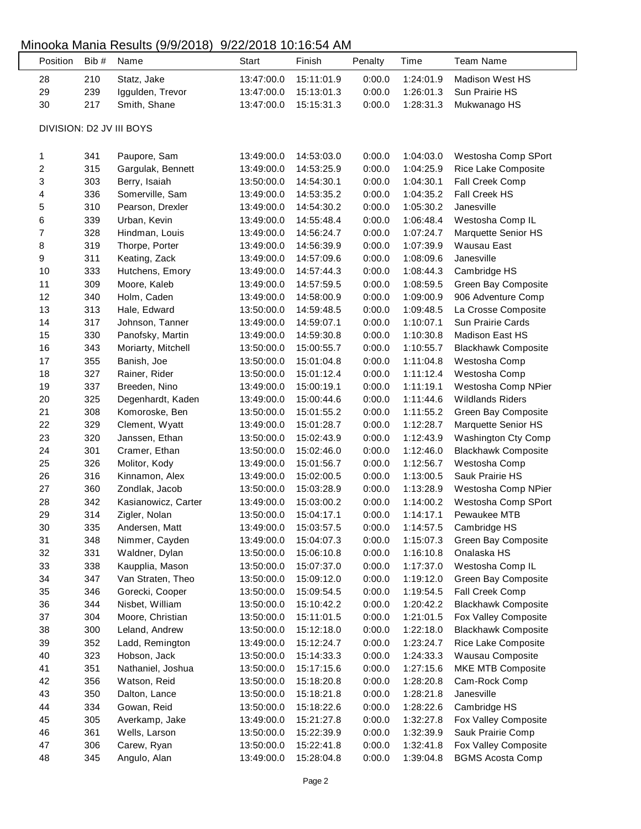| Position | Bib # | Name                     | <b>Start</b> | Finish     | Penalty | Time      | <b>Team Name</b>           |
|----------|-------|--------------------------|--------------|------------|---------|-----------|----------------------------|
| 28       | 210   | Statz, Jake              | 13:47:00.0   | 15:11:01.9 | 0:00.0  | 1:24:01.9 | <b>Madison West HS</b>     |
| 29       | 239   | Iggulden, Trevor         | 13:47:00.0   | 15:13:01.3 | 0:00.0  | 1:26:01.3 | Sun Prairie HS             |
| 30       | 217   | Smith, Shane             | 13:47:00.0   | 15:15:31.3 | 0:00.0  | 1:28:31.3 | Mukwanago HS               |
|          |       | DIVISION: D2 JV III BOYS |              |            |         |           |                            |
| 1        | 341   | Paupore, Sam             | 13:49:00.0   | 14:53:03.0 | 0:00.0  | 1:04:03.0 | Westosha Comp SPort        |
| 2        | 315   | Gargulak, Bennett        | 13:49:00.0   | 14:53:25.9 | 0:00.0  | 1:04:25.9 | Rice Lake Composite        |
| 3        | 303   | Berry, Isaiah            | 13:50:00.0   | 14:54:30.1 | 0:00.0  | 1:04:30.1 | Fall Creek Comp            |
| 4        | 336   | Somerville, Sam          | 13:49:00.0   | 14:53:35.2 | 0:00.0  | 1:04:35.2 | Fall Creek HS              |
| 5        | 310   | Pearson, Drexler         | 13:49:00.0   | 14:54:30.2 | 0:00.0  | 1:05:30.2 | Janesville                 |
| 6        | 339   | Urban, Kevin             | 13:49:00.0   | 14:55:48.4 | 0:00.0  | 1:06:48.4 | Westosha Comp IL           |
| 7        | 328   | Hindman, Louis           | 13:49:00.0   | 14:56:24.7 | 0:00.0  | 1:07:24.7 | Marquette Senior HS        |
| 8        | 319   | Thorpe, Porter           | 13:49:00.0   | 14:56:39.9 | 0:00.0  | 1:07:39.9 | Wausau East                |
| 9        | 311   | Keating, Zack            | 13:49:00.0   | 14:57:09.6 | 0:00.0  | 1:08:09.6 | Janesville                 |
| 10       | 333   | Hutchens, Emory          | 13:49:00.0   | 14:57:44.3 | 0:00.0  | 1:08:44.3 | Cambridge HS               |
| 11       | 309   | Moore, Kaleb             | 13:49:00.0   | 14:57:59.5 | 0:00.0  | 1:08:59.5 | Green Bay Composite        |
| 12       | 340   | Holm, Caden              | 13:49:00.0   | 14:58:00.9 | 0:00.0  | 1:09:00.9 | 906 Adventure Comp         |
| 13       | 313   | Hale, Edward             | 13:50:00.0   | 14:59:48.5 | 0:00.0  | 1:09:48.5 | La Crosse Composite        |
| 14       | 317   | Johnson, Tanner          | 13:49:00.0   | 14:59:07.1 | 0:00.0  | 1:10:07.1 | Sun Prairie Cards          |
| 15       | 330   | Panofsky, Martin         | 13:49:00.0   | 14:59:30.8 | 0:00.0  | 1:10:30.8 | Madison East HS            |
| 16       | 343   | Moriarty, Mitchell       | 13:50:00.0   | 15:00:55.7 | 0:00.0  | 1:10:55.7 | <b>Blackhawk Composite</b> |
| 17       | 355   | Banish, Joe              | 13:50:00.0   | 15:01:04.8 | 0:00.0  | 1:11:04.8 | Westosha Comp              |
| 18       | 327   | Rainer, Rider            | 13:50:00.0   | 15:01:12.4 | 0:00.0  | 1:11:12.4 | Westosha Comp              |
| 19       | 337   | Breeden, Nino            | 13:49:00.0   | 15:00:19.1 | 0:00.0  | 1:11:19.1 | Westosha Comp NPier        |
| 20       | 325   | Degenhardt, Kaden        | 13:49:00.0   | 15:00:44.6 | 0:00.0  | 1:11:44.6 | <b>Wildlands Riders</b>    |
| 21       | 308   | Komoroske, Ben           | 13:50:00.0   | 15:01:55.2 | 0:00.0  | 1:11:55.2 | Green Bay Composite        |
| 22       | 329   | Clement, Wyatt           | 13:49:00.0   | 15:01:28.7 | 0:00.0  | 1:12:28.7 | Marquette Senior HS        |
| 23       | 320   | Janssen, Ethan           | 13:50:00.0   | 15:02:43.9 | 0:00.0  | 1:12:43.9 | Washington Cty Comp        |
| 24       | 301   | Cramer, Ethan            | 13:50:00.0   | 15:02:46.0 | 0:00.0  | 1:12:46.0 | <b>Blackhawk Composite</b> |
| 25       | 326   | Molitor, Kody            | 13:49:00.0   | 15:01:56.7 | 0:00.0  | 1:12:56.7 | Westosha Comp              |
| 26       | 316   | Kinnamon, Alex           | 13:49:00.0   | 15:02:00.5 | 0:00.0  | 1:13:00.5 | Sauk Prairie HS            |
| 27       | 360   | Zondlak, Jacob           | 13:50:00.0   | 15:03:28.9 | 0:00.0  | 1:13:28.9 | Westosha Comp NPier        |
| 28       | 342   | Kasianowicz, Carter      | 13:49:00.0   | 15:03:00.2 | 0:00.0  | 1:14:00.2 | Westosha Comp SPort        |
| 29       | 314   | Zigler, Nolan            | 13:50:00.0   | 15:04:17.1 | 0:00.0  | 1:14:17.1 | Pewaukee MTB               |
| 30       | 335   | Andersen, Matt           | 13:49:00.0   | 15:03:57.5 | 0:00.0  | 1:14:57.5 | Cambridge HS               |
| 31       | 348   | Nimmer, Cayden           | 13:49:00.0   | 15:04:07.3 | 0:00.0  | 1:15:07.3 | Green Bay Composite        |
| 32       | 331   | Waldner, Dylan           | 13:50:00.0   | 15:06:10.8 | 0:00.0  | 1:16:10.8 | Onalaska HS                |
| 33       | 338   | Kaupplia, Mason          | 13:50:00.0   | 15:07:37.0 | 0:00.0  | 1:17:37.0 | Westosha Comp IL           |
| 34       | 347   | Van Straten, Theo        | 13:50:00.0   | 15:09:12.0 | 0:00.0  | 1:19:12.0 | Green Bay Composite        |
| 35       | 346   | Gorecki, Cooper          | 13:50:00.0   | 15:09:54.5 | 0:00.0  | 1:19:54.5 | Fall Creek Comp            |
| 36       | 344   | Nisbet, William          | 13:50:00.0   | 15:10:42.2 | 0:00.0  | 1:20:42.2 | <b>Blackhawk Composite</b> |
| 37       | 304   | Moore, Christian         | 13:50:00.0   | 15:11:01.5 | 0:00.0  | 1:21:01.5 | Fox Valley Composite       |
| 38       | 300   | Leland, Andrew           | 13:50:00.0   | 15:12:18.0 | 0:00.0  | 1:22:18.0 | <b>Blackhawk Composite</b> |
| 39       | 352   | Ladd, Remington          | 13:49:00.0   | 15:12:24.7 | 0:00.0  | 1:23:24.7 | Rice Lake Composite        |
| 40       | 323   | Hobson, Jack             | 13:50:00.0   | 15:14:33.3 | 0:00.0  | 1:24:33.3 | Wausau Composite           |
| 41       | 351   | Nathaniel, Joshua        | 13:50:00.0   | 15:17:15.6 | 0:00.0  | 1:27:15.6 | MKE MTB Composite          |
| 42       | 356   | Watson, Reid             | 13:50:00.0   | 15:18:20.8 | 0:00.0  | 1:28:20.8 | Cam-Rock Comp              |
| 43       | 350   | Dalton, Lance            | 13:50:00.0   | 15:18:21.8 | 0:00.0  | 1:28:21.8 | Janesville                 |
| 44       | 334   | Gowan, Reid              | 13:50:00.0   | 15:18:22.6 | 0:00.0  | 1:28:22.6 | Cambridge HS               |
| 45       | 305   | Averkamp, Jake           | 13:49:00.0   | 15:21:27.8 | 0:00.0  | 1:32:27.8 | Fox Valley Composite       |
| 46       | 361   | Wells, Larson            | 13:50:00.0   | 15:22:39.9 | 0:00.0  | 1:32:39.9 | Sauk Prairie Comp          |
| 47       | 306   | Carew, Ryan              | 13:50:00.0   | 15:22:41.8 | 0:00.0  | 1:32:41.8 | Fox Valley Composite       |
| 48       | 345   | Angulo, Alan             | 13:49:00.0   | 15:28:04.8 | 0:00.0  | 1:39:04.8 | <b>BGMS Acosta Comp</b>    |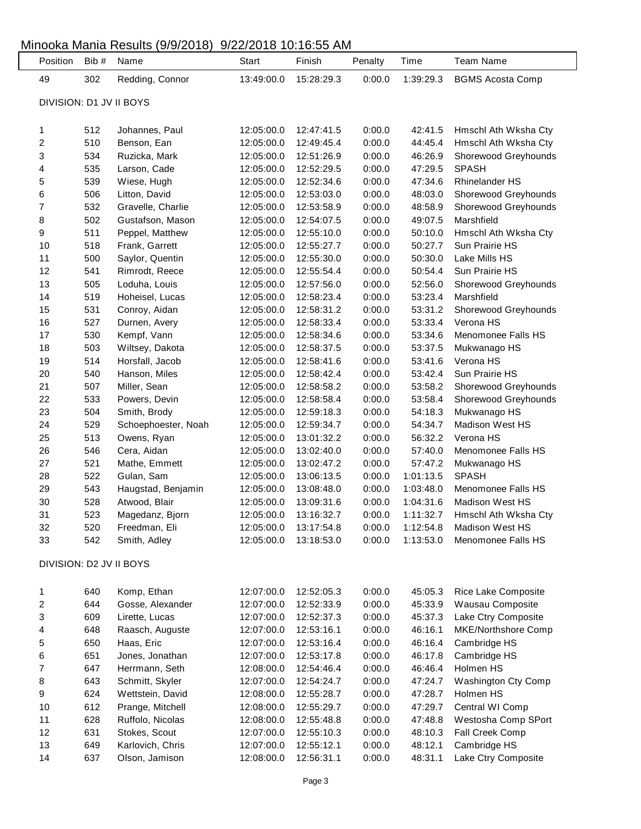| Position                | Bib #      | $m$ $\sim$ $\sim$ $\sim$ $\sim$ $\sim$ $\sim$ $\sim$ $\sim$ $\sim$<br>Name | 0.222201010100000000<br>Start | Finish                   | Penalty          | Time               | <b>Team Name</b>                       |
|-------------------------|------------|----------------------------------------------------------------------------|-------------------------------|--------------------------|------------------|--------------------|----------------------------------------|
| 49                      | 302        | Redding, Connor                                                            | 13:49:00.0                    | 15:28:29.3               | 0:00.0           | 1:39:29.3          | <b>BGMS Acosta Comp</b>                |
| DIVISION: D1 JV II BOYS |            |                                                                            |                               |                          |                  |                    |                                        |
|                         |            |                                                                            |                               |                          |                  |                    |                                        |
| 1                       | 512        | Johannes, Paul                                                             | 12:05:00.0                    | 12:47:41.5               | 0:00.0           | 42:41.5            | Hmschl Ath Wksha Cty                   |
| 2                       | 510        | Benson, Ean                                                                | 12:05:00.0                    | 12:49:45.4               | 0:00.0           | 44:45.4            | Hmschl Ath Wksha Cty                   |
| 3                       | 534        | Ruzicka, Mark                                                              | 12:05:00.0                    | 12:51:26.9               | 0:00.0           | 46:26.9            | Shorewood Greyhounds                   |
| 4                       | 535        | Larson, Cade                                                               | 12:05:00.0                    | 12:52:29.5               | 0:00.0           | 47:29.5            | <b>SPASH</b>                           |
| 5                       | 539        | Wiese, Hugh                                                                | 12:05:00.0                    | 12:52:34.6               | 0:00.0           | 47:34.6            | <b>Rhinelander HS</b>                  |
| 6                       | 506        | Litton, David                                                              | 12:05:00.0                    | 12:53:03.0               | 0:00.0           | 48:03.0            | Shorewood Greyhounds                   |
| 7                       | 532        | Gravelle, Charlie                                                          | 12:05:00.0                    | 12:53:58.9               | 0:00.0           | 48:58.9            | Shorewood Greyhounds                   |
| 8                       | 502        | Gustafson, Mason                                                           | 12:05:00.0                    | 12:54:07.5               | 0:00.0           | 49:07.5            | Marshfield                             |
| 9                       | 511        | Peppel, Matthew                                                            | 12:05:00.0                    | 12:55:10.0               | 0:00.0           | 50:10.0            | Hmschl Ath Wksha Cty                   |
| 10                      | 518        | Frank, Garrett                                                             | 12:05:00.0                    | 12:55:27.7               | 0:00.0           | 50:27.7            | Sun Prairie HS                         |
| 11                      | 500        | Saylor, Quentin                                                            | 12:05:00.0                    | 12:55:30.0               | 0:00.0           | 50:30.0            | Lake Mills HS                          |
| 12                      | 541        | Rimrodt, Reece                                                             | 12:05:00.0                    | 12:55:54.4               | 0:00.0           | 50:54.4            | Sun Prairie HS                         |
| 13                      | 505        | Loduha, Louis                                                              | 12:05:00.0                    | 12:57:56.0               | 0:00.0           | 52:56.0            | Shorewood Greyhounds                   |
| 14                      | 519        | Hoheisel, Lucas                                                            | 12:05:00.0                    | 12:58:23.4               | 0:00.0           | 53:23.4            | Marshfield                             |
| 15                      | 531        | Conroy, Aidan                                                              | 12:05:00.0                    | 12:58:31.2               | 0:00.0           | 53:31.2            | Shorewood Greyhounds                   |
| 16                      | 527        | Durnen, Avery                                                              | 12:05:00.0                    | 12:58:33.4               | 0:00.0           | 53:33.4            | Verona HS                              |
| 17                      | 530        | Kempf, Vann                                                                | 12:05:00.0                    | 12:58:34.6               | 0:00.0           | 53:34.6            | Menomonee Falls HS                     |
| 18                      | 503        | Wiltsey, Dakota                                                            | 12:05:00.0                    | 12:58:37.5               | 0:00.0           | 53:37.5            | Mukwanago HS                           |
| 19                      | 514        | Horsfall, Jacob                                                            | 12:05:00.0                    | 12:58:41.6               | 0:00.0           | 53:41.6            | Verona HS                              |
| 20                      | 540        | Hanson, Miles                                                              | 12:05:00.0                    | 12:58:42.4               | 0:00.0           | 53:42.4            | Sun Prairie HS                         |
| 21                      | 507        | Miller, Sean                                                               | 12:05:00.0                    | 12:58:58.2               | 0:00.0           | 53:58.2            | Shorewood Greyhounds                   |
| 22                      | 533        | Powers, Devin                                                              | 12:05:00.0                    | 12:58:58.4               | 0:00.0           | 53:58.4            | Shorewood Greyhounds                   |
| 23                      | 504        | Smith, Brody                                                               | 12:05:00.0                    | 12:59:18.3               | 0:00.0           | 54:18.3            | Mukwanago HS                           |
| 24                      | 529        | Schoephoester, Noah                                                        | 12:05:00.0                    | 12:59:34.7               | 0:00.0           | 54:34.7            | <b>Madison West HS</b>                 |
| 25                      | 513        | Owens, Ryan                                                                | 12:05:00.0                    | 13:01:32.2               | 0:00.0           | 56:32.2            | Verona HS                              |
| 26                      | 546        | Cera, Aidan                                                                | 12:05:00.0                    | 13:02:40.0               | 0:00.0           | 57:40.0            | Menomonee Falls HS                     |
| 27                      | 521        | Mathe, Emmett                                                              | 12:05:00.0                    | 13:02:47.2               | 0:00.0           | 57:47.2            | Mukwanago HS                           |
| 28                      | 522        | Gulan, Sam                                                                 | 12:05:00.0                    | 13:06:13.5               | 0:00.0           | 1:01:13.5          | <b>SPASH</b>                           |
| 29                      | 543        | Haugstad, Benjamin                                                         | 12:05:00.0                    | 13:08:48.0               | 0:00.0           | 1:03:48.0          | Menomonee Falls HS                     |
| 30                      | 528        | Atwood, Blair                                                              | 12:05:00.0                    | 13:09:31.6               | 0:00.0           | 1:04:31.6          | Madison West HS                        |
| 31                      | 523        | Magedanz, Bjorn                                                            | 12:05:00.0                    | 13:16:32.7               | 0:00.0           | 1:11:32.7          | Hmschl Ath Wksha Cty                   |
| 32                      | 520        | Freedman, Eli                                                              | 12:05:00.0                    | 13:17:54.8               | 0:00.0           | 1:12:54.8          | Madison West HS                        |
| 33                      | 542        | Smith, Adley                                                               | 12:05:00.0                    | 13:18:53.0               | 0:00.0           | 1:13:53.0          | Menomonee Falls HS                     |
| DIVISION: D2 JV II BOYS |            |                                                                            |                               |                          |                  |                    |                                        |
|                         |            |                                                                            |                               |                          |                  |                    |                                        |
| 1                       | 640<br>644 | Komp, Ethan                                                                | 12:07:00.0                    | 12:52:05.3               | 0:00.0           | 45:05.3            | Rice Lake Composite                    |
| 2                       |            | Gosse, Alexander                                                           | 12:07:00.0                    | 12:52:33.9               | 0:00.0           | 45:33.9            | Wausau Composite                       |
| 3                       | 609        | Lirette, Lucas                                                             | 12:07:00.0                    | 12:52:37.3               | 0:00.0           | 45:37.3            | Lake Ctry Composite                    |
| 4                       | 648        | Raasch, Auguste                                                            | 12:07:00.0                    | 12:53:16.1               | 0:00.0           | 46:16.1            | MKE/Northshore Comp                    |
| 5                       | 650        | Haas, Eric                                                                 | 12:07:00.0                    | 12:53:16.4               | 0:00.0           | 46:16.4            | Cambridge HS                           |
| 6                       | 651        | Jones, Jonathan                                                            | 12:07:00.0                    | 12:53:17.8               | 0:00.0           | 46:17.8            | Cambridge HS                           |
| 7                       | 647        | Herrmann, Seth                                                             | 12:08:00.0                    | 12:54:46.4               | 0:00.0           | 46:46.4            | Holmen HS                              |
| 8                       | 643        | Schmitt, Skyler                                                            | 12:07:00.0                    | 12:54:24.7               | 0:00.0           | 47:24.7            | Washington Cty Comp                    |
| 9                       | 624<br>612 | Wettstein, David                                                           | 12:08:00.0                    | 12:55:28.7               | 0:00.0           | 47:28.7            | Holmen HS                              |
| 10<br>11                |            | Prange, Mitchell                                                           | 12:08:00.0                    | 12:55:29.7               | 0:00.0           | 47:29.7            | Central WI Comp                        |
| 12                      | 628<br>631 | Ruffolo, Nicolas<br>Stokes, Scout                                          | 12:08:00.0                    | 12:55:48.8               | 0:00.0           | 47:48.8            | Westosha Comp SPort<br>Fall Creek Comp |
| 13                      | 649        | Karlovich, Chris                                                           | 12:07:00.0<br>12:07:00.0      | 12:55:10.3<br>12:55:12.1 | 0:00.0<br>0:00.0 | 48:10.3<br>48:12.1 | Cambridge HS                           |
| 14                      | 637        | Olson, Jamison                                                             | 12:08:00.0                    | 12:56:31.1               | 0:00.0           | 48:31.1            | Lake Ctry Composite                    |
|                         |            |                                                                            |                               |                          |                  |                    |                                        |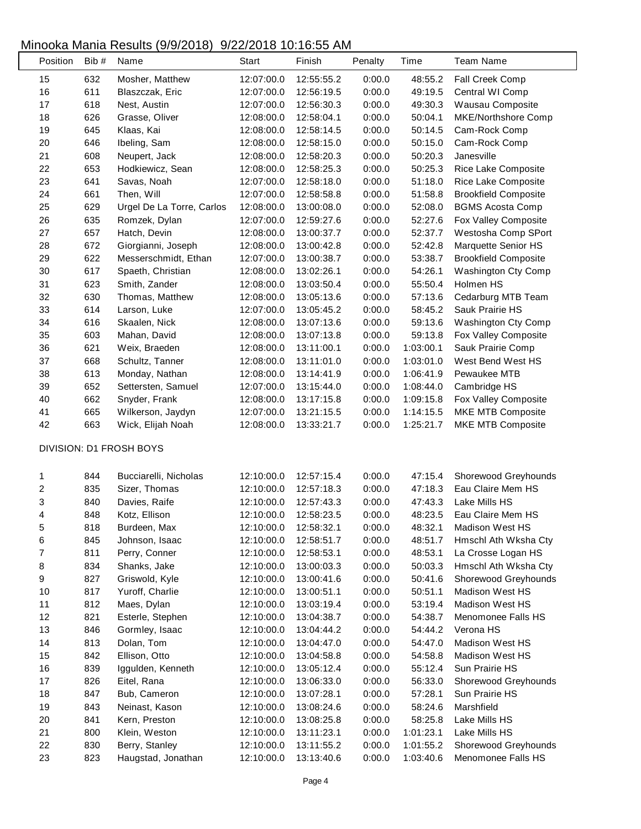| Position                | Bib # | Name                      | <b>Start</b> | Finish     | Penalty | Time      | <b>Team Name</b>            |
|-------------------------|-------|---------------------------|--------------|------------|---------|-----------|-----------------------------|
| 15                      | 632   | Mosher, Matthew           | 12:07:00.0   | 12:55:55.2 | 0:00.0  | 48:55.2   | Fall Creek Comp             |
| 16                      | 611   | Blaszczak, Eric           | 12:07:00.0   | 12:56:19.5 | 0:00.0  | 49:19.5   | Central WI Comp             |
| 17                      | 618   | Nest, Austin              | 12:07:00.0   | 12:56:30.3 | 0:00.0  | 49:30.3   | Wausau Composite            |
| 18                      | 626   | Grasse, Oliver            | 12:08:00.0   | 12:58:04.1 | 0:00.0  | 50:04.1   | MKE/Northshore Comp         |
| 19                      | 645   | Klaas, Kai                | 12:08:00.0   | 12:58:14.5 | 0:00.0  | 50:14.5   | Cam-Rock Comp               |
| 20                      | 646   | Ibeling, Sam              | 12:08:00.0   | 12:58:15.0 | 0:00.0  | 50:15.0   | Cam-Rock Comp               |
| 21                      | 608   | Neupert, Jack             | 12:08:00.0   | 12:58:20.3 | 0:00.0  | 50:20.3   | Janesville                  |
| 22                      | 653   | Hodkiewicz, Sean          | 12:08:00.0   | 12:58:25.3 | 0:00.0  | 50:25.3   | Rice Lake Composite         |
| 23                      | 641   | Savas, Noah               | 12:07:00.0   | 12:58:18.0 | 0:00.0  | 51:18.0   | Rice Lake Composite         |
| 24                      | 661   | Then, Will                | 12:07:00.0   | 12:58:58.8 | 0:00.0  | 51:58.8   | <b>Brookfield Composite</b> |
| 25                      | 629   | Urgel De La Torre, Carlos | 12:08:00.0   | 13:00:08.0 | 0:00.0  | 52:08.0   | <b>BGMS Acosta Comp</b>     |
| 26                      | 635   | Romzek, Dylan             | 12:07:00.0   | 12:59:27.6 | 0:00.0  | 52:27.6   | Fox Valley Composite        |
| 27                      | 657   | Hatch, Devin              | 12:08:00.0   | 13:00:37.7 | 0:00.0  | 52:37.7   | Westosha Comp SPort         |
| 28                      | 672   | Giorgianni, Joseph        | 12:08:00.0   | 13:00:42.8 | 0:00.0  | 52:42.8   | Marquette Senior HS         |
| 29                      | 622   | Messerschmidt, Ethan      | 12:07:00.0   | 13:00:38.7 | 0:00.0  | 53:38.7   | <b>Brookfield Composite</b> |
| 30                      | 617   | Spaeth, Christian         | 12:08:00.0   | 13:02:26.1 | 0:00.0  | 54:26.1   | Washington Cty Comp         |
| 31                      | 623   | Smith, Zander             | 12:08:00.0   | 13:03:50.4 | 0:00.0  | 55:50.4   | Holmen HS                   |
| 32                      | 630   | Thomas, Matthew           | 12:08:00.0   | 13:05:13.6 | 0:00.0  | 57:13.6   | Cedarburg MTB Team          |
| 33                      | 614   | Larson, Luke              | 12:07:00.0   | 13:05:45.2 | 0:00.0  | 58:45.2   | Sauk Prairie HS             |
| 34                      | 616   | Skaalen, Nick             | 12:08:00.0   | 13:07:13.6 | 0:00.0  | 59:13.6   | Washington Cty Comp         |
| 35                      | 603   | Mahan, David              | 12:08:00.0   | 13:07:13.8 | 0:00.0  | 59:13.8   | Fox Valley Composite        |
| 36                      | 621   | Weix, Braeden             | 12:08:00.0   | 13:11:00.1 | 0:00.0  | 1:03:00.1 | Sauk Prairie Comp           |
| 37                      | 668   | Schultz, Tanner           | 12:08:00.0   | 13:11:01.0 | 0:00.0  | 1:03:01.0 | West Bend West HS           |
| 38                      | 613   | Monday, Nathan            | 12:08:00.0   | 13:14:41.9 | 0:00.0  | 1:06:41.9 | Pewaukee MTB                |
| 39                      | 652   | Settersten, Samuel        | 12:07:00.0   | 13:15:44.0 | 0:00.0  | 1:08:44.0 | Cambridge HS                |
| 40                      | 662   | Snyder, Frank             | 12:08:00.0   | 13:17:15.8 | 0:00.0  | 1:09:15.8 | Fox Valley Composite        |
| 41                      | 665   | Wilkerson, Jaydyn         | 12:07:00.0   | 13:21:15.5 | 0:00.0  | 1:14:15.5 | MKE MTB Composite           |
| 42                      | 663   | Wick, Elijah Noah         | 12:08:00.0   | 13:33:21.7 | 0:00.0  | 1:25:21.7 | <b>MKE MTB Composite</b>    |
|                         |       |                           |              |            |         |           |                             |
|                         |       | DIVISION: D1 FROSH BOYS   |              |            |         |           |                             |
| 1                       | 844   | Bucciarelli, Nicholas     | 12:10:00.0   | 12:57:15.4 | 0:00.0  | 47:15.4   | Shorewood Greyhounds        |
| $\overline{\mathbf{c}}$ | 835   | Sizer, Thomas             | 12:10:00.0   | 12:57:18.3 | 0:00.0  | 47:18.3   | Eau Claire Mem HS           |
| 3                       | 840   | Davies, Raife             | 12:10:00.0   | 12:57:43.3 | 0:00.0  | 47:43.3   | Lake Mills HS               |
| 4                       | 848   | Kotz, Ellison             | 12:10:00.0   | 12:58:23.5 | 0:00.0  | 48:23.5   | Eau Claire Mem HS           |
| 5                       | 818   | Burdeen, Max              | 12:10:00.0   | 12:58:32.1 | 0:00.0  | 48:32.1   | Madison West HS             |
| 6                       | 845   | Johnson, Isaac            | 12:10:00.0   | 12:58:51.7 | 0:00.0  | 48:51.7   | Hmschl Ath Wksha Cty        |
| 7                       | 811   | Perry, Conner             | 12:10:00.0   | 12:58:53.1 | 0:00.0  | 48:53.1   | La Crosse Logan HS          |
| 8                       | 834   | Shanks, Jake              | 12:10:00.0   | 13:00:03.3 | 0:00.0  | 50:03.3   | Hmschl Ath Wksha Cty        |
| 9                       | 827   | Griswold, Kyle            | 12:10:00.0   | 13:00:41.6 | 0:00.0  | 50:41.6   | Shorewood Greyhounds        |
| 10                      | 817   | Yuroff, Charlie           | 12:10:00.0   | 13:00:51.1 | 0:00.0  | 50:51.1   | <b>Madison West HS</b>      |
| 11                      | 812   | Maes, Dylan               | 12:10:00.0   | 13:03:19.4 | 0:00.0  | 53:19.4   | Madison West HS             |
| 12                      | 821   | Esterle, Stephen          | 12:10:00.0   | 13:04:38.7 | 0:00.0  | 54:38.7   | Menomonee Falls HS          |
| 13                      | 846   | Gormley, Isaac            | 12:10:00.0   | 13:04:44.2 | 0:00.0  | 54:44.2   | Verona HS                   |
| 14                      | 813   | Dolan, Tom                | 12:10:00.0   | 13:04:47.0 | 0:00.0  | 54:47.0   | Madison West HS             |
| 15                      | 842   | Ellison, Otto             | 12:10:00.0   | 13:04:58.8 | 0:00.0  | 54:58.8   | Madison West HS             |
| 16                      | 839   | Iggulden, Kenneth         | 12:10:00.0   | 13:05:12.4 | 0:00.0  | 55:12.4   | Sun Prairie HS              |
| $17$                    | 826   | Eitel, Rana               | 12:10:00.0   | 13:06:33.0 | 0:00.0  | 56:33.0   | Shorewood Greyhounds        |
| 18                      | 847   | Bub, Cameron              | 12:10:00.0   | 13:07:28.1 | 0:00.0  | 57:28.1   | Sun Prairie HS              |
| 19                      | 843   | Neinast, Kason            | 12:10:00.0   | 13:08:24.6 | 0:00.0  | 58:24.6   | Marshfield                  |
| 20                      | 841   | Kern, Preston             | 12:10:00.0   | 13:08:25.8 | 0:00.0  | 58:25.8   | Lake Mills HS               |
| 21                      | 800   | Klein, Weston             | 12:10:00.0   | 13:11:23.1 | 0:00.0  | 1:01:23.1 | Lake Mills HS               |
| 22                      | 830   | Berry, Stanley            | 12:10:00.0   | 13:11:55.2 | 0:00.0  | 1:01:55.2 | Shorewood Greyhounds        |
| 23                      | 823   | Haugstad, Jonathan        | 12:10:00.0   | 13:13:40.6 | 0:00.0  | 1:03:40.6 | Menomonee Falls HS          |
|                         |       |                           |              |            |         |           |                             |

 $\overline{\phantom{a}}$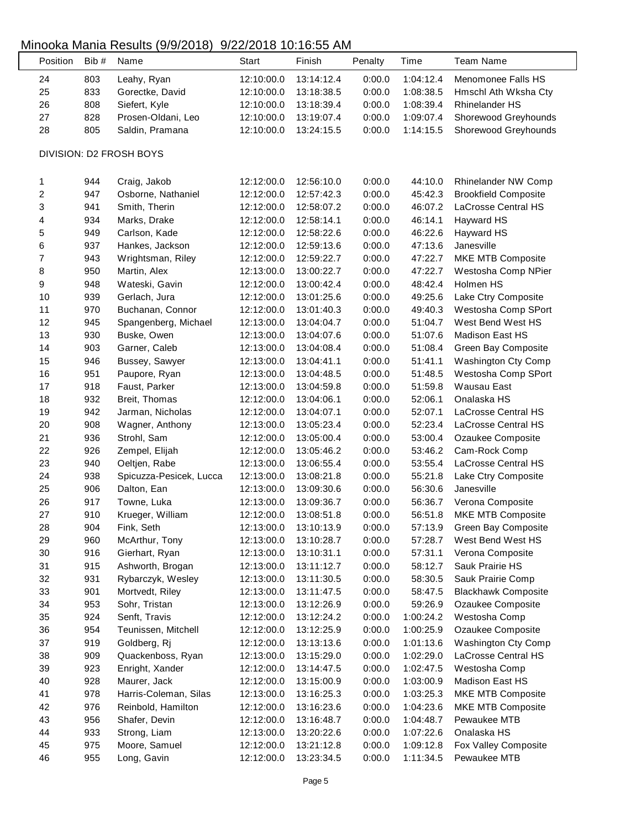L

| Position         | Bib# | Name                    | <b>Start</b> | Finish     | Penalty | Time      | <b>Team Name</b>            |
|------------------|------|-------------------------|--------------|------------|---------|-----------|-----------------------------|
| 24               | 803  | Leahy, Ryan             | 12:10:00.0   | 13:14:12.4 | 0:00.0  | 1:04:12.4 | Menomonee Falls HS          |
| 25               | 833  | Gorectke, David         | 12:10:00.0   | 13:18:38.5 | 0:00.0  | 1:08:38.5 | Hmschl Ath Wksha Cty        |
| 26               | 808  | Siefert, Kyle           | 12:10:00.0   | 13:18:39.4 | 0:00.0  | 1:08:39.4 | <b>Rhinelander HS</b>       |
| 27               | 828  | Prosen-Oldani, Leo      | 12:10:00.0   | 13:19:07.4 | 0:00.0  | 1:09:07.4 | Shorewood Greyhounds        |
| 28               | 805  | Saldin, Pramana         | 12:10:00.0   | 13:24:15.5 | 0:00.0  | 1:14:15.5 | Shorewood Greyhounds        |
|                  |      | DIVISION: D2 FROSH BOYS |              |            |         |           |                             |
| 1                | 944  | Craig, Jakob            | 12:12:00.0   | 12:56:10.0 | 0:00.0  | 44:10.0   | Rhinelander NW Comp         |
| $\boldsymbol{2}$ | 947  | Osborne, Nathaniel      | 12:12:00.0   | 12:57:42.3 | 0:00.0  | 45:42.3   | <b>Brookfield Composite</b> |
| $\sqrt{3}$       | 941  | Smith, Therin           | 12:12:00.0   | 12:58:07.2 | 0:00.0  | 46:07.2   | LaCrosse Central HS         |
| 4                | 934  | Marks, Drake            | 12:12:00.0   | 12:58:14.1 | 0:00.0  | 46:14.1   | Hayward HS                  |
| 5                | 949  | Carlson, Kade           | 12:12:00.0   | 12:58:22.6 | 0:00.0  | 46:22.6   | Hayward HS                  |
| 6                | 937  | Hankes, Jackson         | 12:12:00.0   | 12:59:13.6 | 0:00.0  | 47:13.6   | Janesville                  |
| $\boldsymbol{7}$ | 943  | Wrightsman, Riley       | 12:12:00.0   | 12:59:22.7 | 0:00.0  | 47:22.7   | MKE MTB Composite           |
| 8                | 950  | Martin, Alex            | 12:13:00.0   | 13:00:22.7 | 0:00.0  | 47:22.7   | Westosha Comp NPier         |
| 9                | 948  | Wateski, Gavin          | 12:12:00.0   | 13:00:42.4 | 0:00.0  | 48:42.4   | Holmen HS                   |
| 10               | 939  | Gerlach, Jura           | 12:12:00.0   | 13:01:25.6 | 0:00.0  | 49:25.6   | Lake Ctry Composite         |
| 11               | 970  | Buchanan, Connor        | 12:12:00.0   | 13:01:40.3 | 0:00.0  | 49:40.3   | Westosha Comp SPort         |
| 12               | 945  | Spangenberg, Michael    | 12:13:00.0   | 13:04:04.7 | 0:00.0  | 51:04.7   | West Bend West HS           |
| 13               | 930  | Buske, Owen             | 12:13:00.0   | 13:04:07.6 | 0:00.0  | 51:07.6   | Madison East HS             |
| 14               | 903  | Garner, Caleb           | 12:13:00.0   | 13:04:08.4 | 0:00.0  | 51:08.4   | Green Bay Composite         |
| 15               | 946  | Bussey, Sawyer          | 12:13:00.0   | 13:04:41.1 | 0:00.0  | 51:41.1   | Washington Cty Comp         |
| 16               | 951  | Paupore, Ryan           | 12:13:00.0   | 13:04:48.5 | 0:00.0  | 51:48.5   | Westosha Comp SPort         |
| 17               | 918  | Faust, Parker           | 12:13:00.0   | 13:04:59.8 | 0:00.0  | 51:59.8   | Wausau East                 |
| 18               | 932  |                         |              |            | 0:00.0  | 52:06.1   | Onalaska HS                 |
|                  |      | Breit, Thomas           | 12:12:00.0   | 13:04:06.1 |         |           |                             |
| 19               | 942  | Jarman, Nicholas        | 12:12:00.0   | 13:04:07.1 | 0:00.0  | 52:07.1   | LaCrosse Central HS         |
| 20               | 908  | Wagner, Anthony         | 12:13:00.0   | 13:05:23.4 | 0:00.0  | 52:23.4   | LaCrosse Central HS         |
| 21               | 936  | Strohl, Sam             | 12:12:00.0   | 13:05:00.4 | 0:00.0  | 53:00.4   | Ozaukee Composite           |
| 22               | 926  | Zempel, Elijah          | 12:12:00.0   | 13:05:46.2 | 0:00.0  | 53:46.2   | Cam-Rock Comp               |
| 23               | 940  | Oeltjen, Rabe           | 12:13:00.0   | 13:06:55.4 | 0:00.0  | 53:55.4   | LaCrosse Central HS         |
| 24               | 938  | Spicuzza-Pesicek, Lucca | 12:13:00.0   | 13:08:21.8 | 0:00.0  | 55:21.8   | Lake Ctry Composite         |
| 25               | 906  | Dalton, Ean             | 12:13:00.0   | 13:09:30.6 | 0:00.0  | 56:30.6   | Janesville                  |
| 26               | 917  | Towne, Luka             | 12:13:00.0   | 13:09:36.7 | 0:00.0  | 56:36.7   | Verona Composite            |
| 27               | 910  | Krueger, William        | 12:12:00.0   | 13:08:51.8 | 0:00.0  | 56:51.8   | <b>MKE MTB Composite</b>    |
| 28               | 904  | Fink, Seth              | 12:13:00.0   | 13:10:13.9 | 0:00.0  | 57:13.9   | Green Bay Composite         |
| 29               | 960  | McArthur, Tony          | 12:13:00.0   | 13:10:28.7 | 0:00.0  | 57:28.7   | West Bend West HS           |
| $30\,$           | 916  | Gierhart, Ryan          | 12:13:00.0   | 13:10:31.1 | 0:00.0  | 57:31.1   | Verona Composite            |
| 31               | 915  | Ashworth, Brogan        | 12:13:00.0   | 13:11:12.7 | 0:00.0  | 58:12.7   | Sauk Prairie HS             |
| 32               | 931  | Rybarczyk, Wesley       | 12:13:00.0   | 13:11:30.5 | 0:00.0  | 58:30.5   | Sauk Prairie Comp           |
| 33               | 901  | Mortvedt, Riley         | 12:13:00.0   | 13:11:47.5 | 0:00.0  | 58:47.5   | <b>Blackhawk Composite</b>  |
| 34               | 953  | Sohr, Tristan           | 12:13:00.0   | 13:12:26.9 | 0:00.0  | 59:26.9   | Ozaukee Composite           |
| 35               | 924  | Senft, Travis           | 12:12:00.0   | 13:12:24.2 | 0:00.0  | 1:00:24.2 | Westosha Comp               |
| 36               | 954  | Teunissen, Mitchell     | 12:12:00.0   | 13:12:25.9 | 0:00.0  | 1:00:25.9 | Ozaukee Composite           |
| 37               | 919  | Goldberg, Rj            | 12:12:00.0   | 13:13:13.6 | 0:00.0  | 1:01:13.6 | Washington Cty Comp         |
| 38               | 909  | Quackenboss, Ryan       | 12:13:00.0   | 13:15:29.0 | 0:00.0  | 1:02:29.0 | LaCrosse Central HS         |
| 39               | 923  | Enright, Xander         | 12:12:00.0   | 13:14:47.5 | 0:00.0  | 1:02:47.5 | Westosha Comp               |
| 40               | 928  | Maurer, Jack            | 12:12:00.0   | 13:15:00.9 | 0:00.0  | 1:03:00.9 | Madison East HS             |
| 41               | 978  | Harris-Coleman, Silas   | 12:13:00.0   | 13:16:25.3 | 0:00.0  | 1:03:25.3 | MKE MTB Composite           |
| 42               | 976  | Reinbold, Hamilton      | 12:12:00.0   | 13:16:23.6 | 0:00.0  | 1:04:23.6 | MKE MTB Composite           |
| 43               | 956  | Shafer, Devin           | 12:12:00.0   | 13:16:48.7 | 0:00.0  | 1:04:48.7 | Pewaukee MTB                |
| 44               | 933  | Strong, Liam            | 12:13:00.0   | 13:20:22.6 | 0:00.0  | 1:07:22.6 | Onalaska HS                 |
| 45               | 975  | Moore, Samuel           | 12:12:00.0   | 13:21:12.8 | 0:00.0  | 1:09:12.8 | Fox Valley Composite        |
| 46               | 955  | Long, Gavin             | 12:12:00.0   | 13:23:34.5 | 0:00.0  | 1:11:34.5 | Pewaukee MTB                |
|                  |      |                         |              |            |         |           |                             |